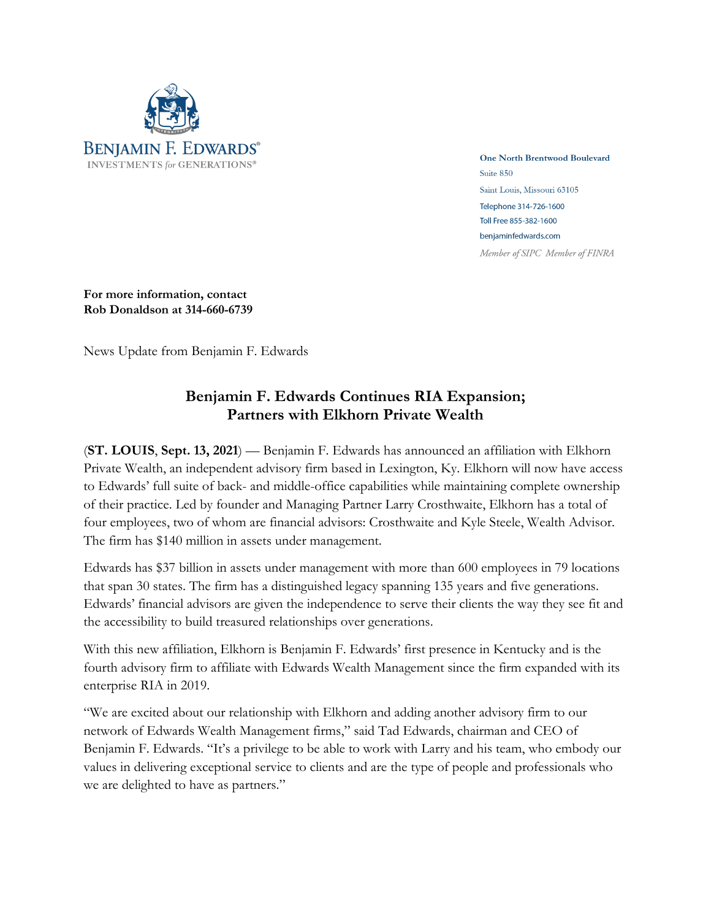

One North Brentwood Boulevard Suite 850 Saint Louis, Missouri 63105 Telephone 314-726-1600 Toll Free 855-382-1600 benjaminfedwards.com Member of SIPC Member of FINRA

**For more information, contact Rob Donaldson at 314-660-6739**

News Update from Benjamin F. Edwards

## **Benjamin F. Edwards Continues RIA Expansion; Partners with Elkhorn Private Wealth**

(**ST. LOUIS**, **Sept. 13, 2021**) — Benjamin F. Edwards has announced an affiliation with Elkhorn Private Wealth, an independent advisory firm based in Lexington, Ky. Elkhorn will now have access to Edwards' full suite of back- and middle-office capabilities while maintaining complete ownership of their practice. Led by founder and Managing Partner Larry Crosthwaite, Elkhorn has a total of four employees, two of whom are financial advisors: Crosthwaite and Kyle Steele, Wealth Advisor. The firm has \$140 million in assets under management.

Edwards has \$37 billion in assets under management with more than 600 employees in 79 locations that span 30 states. The firm has a distinguished legacy spanning 135 years and five generations. Edwards' financial advisors are given the independence to serve their clients the way they see fit and the accessibility to build treasured relationships over generations.

With this new affiliation, Elkhorn is Benjamin F. Edwards' first presence in Kentucky and is the fourth advisory firm to affiliate with Edwards Wealth Management since the firm expanded with its enterprise RIA in 2019.

"We are excited about our relationship with Elkhorn and adding another advisory firm to our network of Edwards Wealth Management firms," said Tad Edwards, chairman and CEO of Benjamin F. Edwards. "It's a privilege to be able to work with Larry and his team, who embody our values in delivering exceptional service to clients and are the type of people and professionals who we are delighted to have as partners."